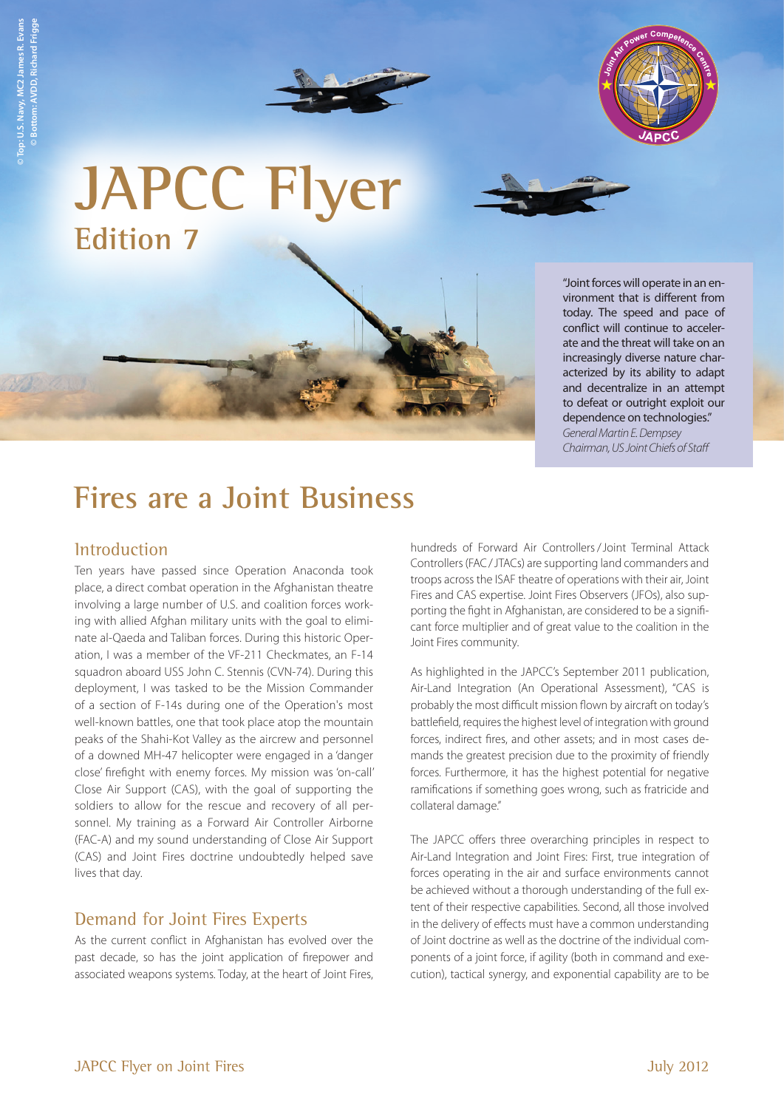



**JAPCC Flyer Edition 7**

"Joint forces will operate in an environment that is different from today. The speed and pace of conflict will continue to accelerate and the threat will take on an increasingly diverse nature characterized by its ability to adapt and decentralize in an attempt to defeat or outright exploit our dependence on technologies." *General Martin E. Dempsey* 

*Chairman, US Joint Chiefs of Staff* 

# **Fires are a Joint Business**

## **Introduction**

Ten years have passed since Operation Anaconda took place, a direct combat operation in the Afghanistan theatre involving a large number of U.S. and coalition forces working with allied Afghan military units with the goal to eliminate al-Qaeda and Taliban forces. During this historic Operation, I was a member of the VF-211 Checkmates, an F-14 squadron aboard USS John C. Stennis (CVN-74). During this deployment, I was tasked to be the Mission Commander of a section of F-14s during one of the Operation's most well-known battles, one that took place atop the mountain peaks of the Shahi-Kot Valley as the aircrew and personnel of a downed MH-47 helicopter were engaged in a 'danger close' firefight with enemy forces. My mission was 'on-call' Close Air Support (CAS), with the goal of supporting the soldiers to allow for the rescue and recovery of all personnel. My training as a Forward Air Controller Airborne (FAC-A) and my sound understanding of Close Air Support (CAS) and Joint Fires doctrine undoubtedly helped save lives that day.

## Demand for Joint Fires Experts

As the current conflict in Afghanistan has evolved over the past decade, so has the joint application of firepower and associated weapons systems. Today, at the heart of Joint Fires, hundreds of Forward Air Controllers/Joint Terminal Attack Controllers (FAC/JTACs) are supporting land commanders and troops across the ISAF theatre of operations with their air, Joint Fires and CAS expertise. Joint Fires Observers (JFOs), also supporting the fight in Afghanistan, are considered to be a significant force multiplier and of great value to the coalition in the Joint Fires community.

As highlighted in the JAPCC's September 2011 publication, Air-Land Integration (An Operational Assessment), "CAS is probably the most difficult mission flown by aircraft on today's battlefield, requires the highest level of integration with ground forces, indirect fires, and other assets; and in most cases demands the greatest precision due to the proximity of friendly forces. Furthermore, it has the highest potential for negative ramifications if something goes wrong, such as fratricide and collateral damage."

The JAPCC offers three overarching principles in respect to Air-Land Integration and Joint Fires: First, true integration of forces operating in the air and surface environments cannot be achieved without a thorough understanding of the full extent of their respective capabilities. Second, all those involved in the delivery of effects must have a common understanding of Joint doctrine as well as the doctrine of the individual components of a joint force, if agility (both in command and execution), tactical synergy, and exponential capability are to be